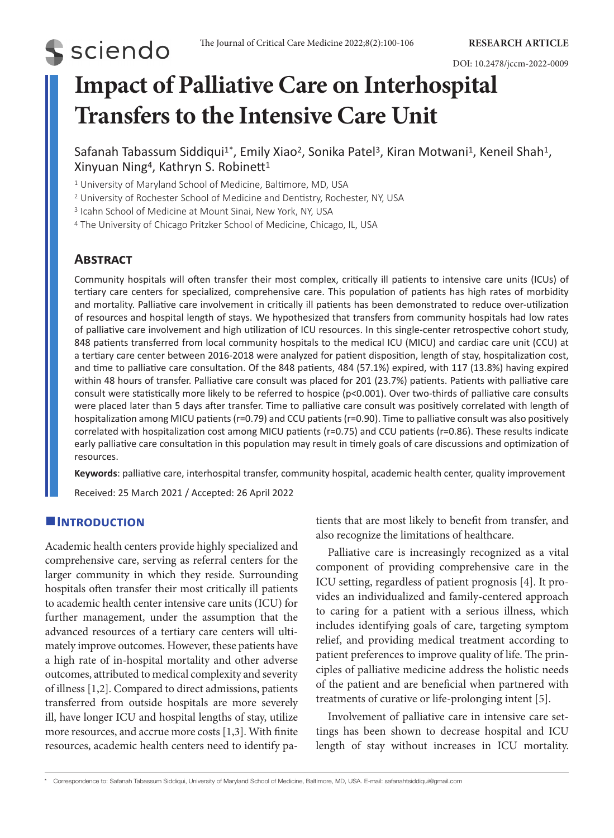# **S** sciendo

DOI: 10.2478/jccm-2022-0009

# **Impact of Palliative Care on Interhospital Transfers to the Intensive Care Unit**

Safanah Tabassum Siddiqui<sup>1\*</sup>, Emily Xiao<sup>2</sup>, Sonika Patel<sup>3</sup>, Kiran Motwani<sup>1</sup>, Keneil Shah<sup>1</sup>, Xinyuan Ning4, Kathryn S. Robinett<sup>1</sup>

<sup>1</sup> University of Maryland School of Medicine, Baltimore, MD, USA

<sup>2</sup> University of Rochester School of Medicine and Dentistry, Rochester, NY, USA

<sup>3</sup> Icahn School of Medicine at Mount Sinai, New York, NY, USA

<sup>4</sup> The University of Chicago Pritzker School of Medicine, Chicago, IL, USA

# **Abstract**

Community hospitals will often transfer their most complex, critically ill patients to intensive care units (ICUs) of tertiary care centers for specialized, comprehensive care. This population of patients has high rates of morbidity and mortality. Palliative care involvement in critically ill patients has been demonstrated to reduce over-utilization of resources and hospital length of stays. We hypothesized that transfers from community hospitals had low rates of palliative care involvement and high utilization of ICU resources. In this single-center retrospective cohort study, 848 patients transferred from local community hospitals to the medical ICU (MICU) and cardiac care unit (CCU) at a tertiary care center between 2016-2018 were analyzed for patient disposition, length of stay, hospitalization cost, and time to palliative care consultation. Of the 848 patients, 484 (57.1%) expired, with 117 (13.8%) having expired within 48 hours of transfer. Palliative care consult was placed for 201 (23.7%) patients. Patients with palliative care consult were statistically more likely to be referred to hospice (p<0.001). Over two-thirds of palliative care consults were placed later than 5 days after transfer. Time to palliative care consult was positively correlated with length of hospitalization among MICU patients (r=0.79) and CCU patients (r=0.90). Time to palliative consult was also positively correlated with hospitalization cost among MICU patients (r=0.75) and CCU patients (r=0.86). These results indicate early palliative care consultation in this population may result in timely goals of care discussions and optimization of resources.

**Keywords**: palliative care, interhospital transfer, community hospital, academic health center, quality improvement Received: 25 March 2021 / Accepted: 26 April 2022

# **Introduction**

Academic health centers provide highly specialized and comprehensive care, serving as referral centers for the larger community in which they reside. Surrounding hospitals often transfer their most critically ill patients to academic health center intensive care units (ICU) for further management, under the assumption that the advanced resources of a tertiary care centers will ultimately improve outcomes. However, these patients have a high rate of in-hospital mortality and other adverse outcomes, attributed to medical complexity and severity of illness [1,2]. Compared to direct admissions, patients transferred from outside hospitals are more severely ill, have longer ICU and hospital lengths of stay, utilize more resources, and accrue more costs [1,3]. With finite resources, academic health centers need to identify patients that are most likely to benefit from transfer, and also recognize the limitations of healthcare.

Palliative care is increasingly recognized as a vital component of providing comprehensive care in the ICU setting, regardless of patient prognosis [4]. It provides an individualized and family-centered approach to caring for a patient with a serious illness, which includes identifying goals of care, targeting symptom relief, and providing medical treatment according to patient preferences to improve quality of life. The principles of palliative medicine address the holistic needs of the patient and are beneficial when partnered with treatments of curative or life-prolonging intent [5].

Involvement of palliative care in intensive care settings has been shown to decrease hospital and ICU length of stay without increases in ICU mortality.

<sup>\*</sup> Correspondence to: Safanah Tabassum Siddiqui, University of Maryland School of Medicine, Baltimore, MD, USA. E-mail: safanahtsiddiqui@gmail.com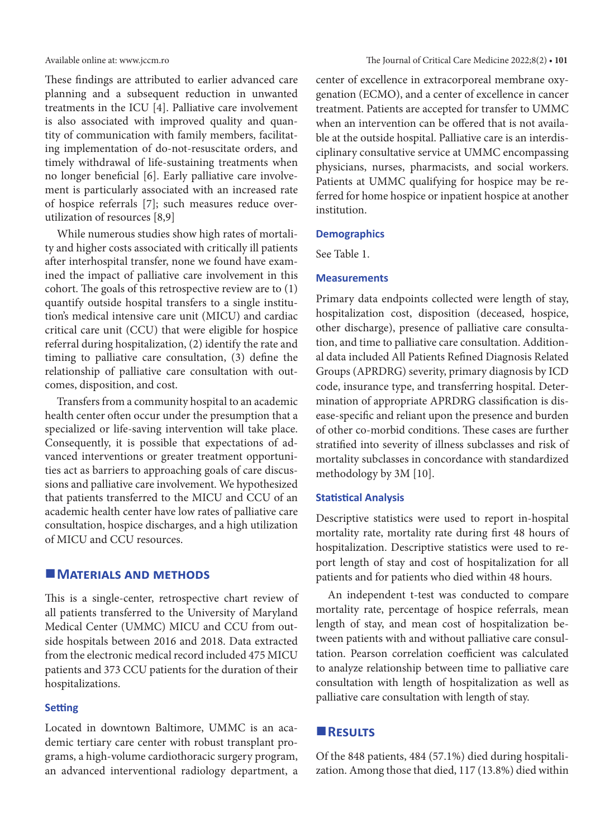These findings are attributed to earlier advanced care planning and a subsequent reduction in unwanted treatments in the ICU [4]. Palliative care involvement is also associated with improved quality and quantity of communication with family members, facilitating implementation of do-not-resuscitate orders, and timely withdrawal of life-sustaining treatments when no longer beneficial [6]. Early palliative care involvement is particularly associated with an increased rate of hospice referrals [7]; such measures reduce overutilization of resources [8,9]

While numerous studies show high rates of mortality and higher costs associated with critically ill patients after interhospital transfer, none we found have examined the impact of palliative care involvement in this cohort. The goals of this retrospective review are to (1) quantify outside hospital transfers to a single institution's medical intensive care unit (MICU) and cardiac critical care unit (CCU) that were eligible for hospice referral during hospitalization, (2) identify the rate and timing to palliative care consultation, (3) define the relationship of palliative care consultation with outcomes, disposition, and cost.

Transfers from a community hospital to an academic health center often occur under the presumption that a specialized or life-saving intervention will take place. Consequently, it is possible that expectations of advanced interventions or greater treatment opportunities act as barriers to approaching goals of care discussions and palliative care involvement. We hypothesized that patients transferred to the MICU and CCU of an academic health center have low rates of palliative care consultation, hospice discharges, and a high utilization of MICU and CCU resources.

### **MATERIALS AND METHODS**

This is a single-center, retrospective chart review of all patients transferred to the University of Maryland Medical Center (UMMC) MICU and CCU from outside hospitals between 2016 and 2018. Data extracted from the electronic medical record included 475 MICU patients and 373 CCU patients for the duration of their hospitalizations.

# **Setting**

Located in downtown Baltimore, UMMC is an academic tertiary care center with robust transplant programs, a high-volume cardiothoracic surgery program, an advanced interventional radiology department, a center of excellence in extracorporeal membrane oxygenation (ECMO), and a center of excellence in cancer treatment. Patients are accepted for transfer to UMMC when an intervention can be offered that is not available at the outside hospital. Palliative care is an interdisciplinary consultative service at UMMC encompassing physicians, nurses, pharmacists, and social workers. Patients at UMMC qualifying for hospice may be referred for home hospice or inpatient hospice at another institution.

#### **Demographics**

See Table 1.

#### **Measurements**

Primary data endpoints collected were length of stay, hospitalization cost, disposition (deceased, hospice, other discharge), presence of palliative care consultation, and time to palliative care consultation. Additional data included All Patients Refined Diagnosis Related Groups (APRDRG) severity, primary diagnosis by ICD code, insurance type, and transferring hospital. Determination of appropriate APRDRG classification is disease-specific and reliant upon the presence and burden of other co-morbid conditions. These cases are further stratified into severity of illness subclasses and risk of mortality subclasses in concordance with standardized methodology by 3M [10].

#### **Statistical Analysis**

Descriptive statistics were used to report in-hospital mortality rate, mortality rate during first 48 hours of hospitalization. Descriptive statistics were used to report length of stay and cost of hospitalization for all patients and for patients who died within 48 hours.

An independent t-test was conducted to compare mortality rate, percentage of hospice referrals, mean length of stay, and mean cost of hospitalization between patients with and without palliative care consultation. Pearson correlation coefficient was calculated to analyze relationship between time to palliative care consultation with length of hospitalization as well as palliative care consultation with length of stay.

# **Results**

Of the 848 patients, 484 (57.1%) died during hospitalization. Among those that died, 117 (13.8%) died within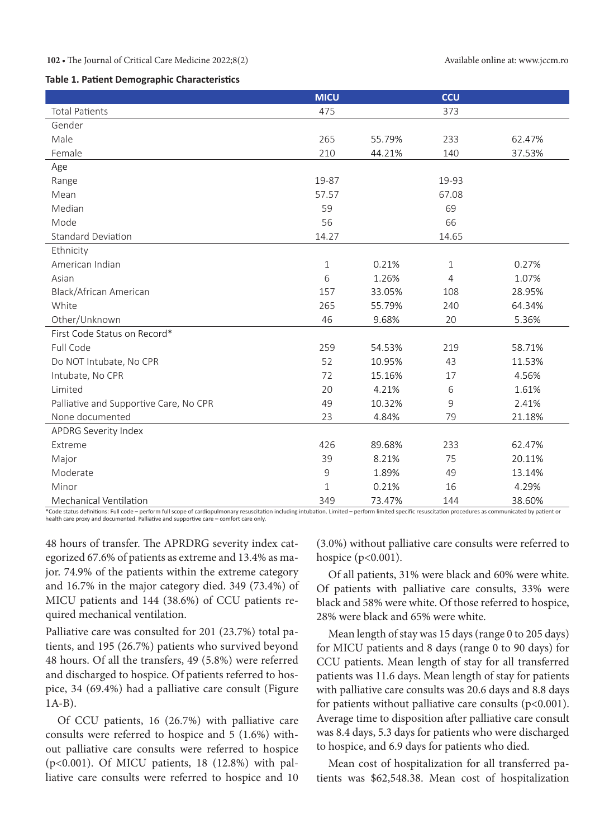#### **102 •** The Journal of Critical Care Medicine 2022;8(2) Available online at: www.jccm.ro

#### **Table 1. Patient Demographic Characteristics**

|                                        | <b>MICU</b>         |        | ccu         |        |
|----------------------------------------|---------------------|--------|-------------|--------|
| <b>Total Patients</b>                  | 475                 |        | 373         |        |
| Gender                                 |                     |        |             |        |
| Male                                   | 265                 | 55.79% | 233         | 62.47% |
| Female                                 | 210                 | 44.21% | 140         | 37.53% |
| Age                                    |                     |        |             |        |
| Range                                  | 19-87               |        | 19-93       |        |
| Mean                                   | 57.57               |        | 67.08       |        |
| Median                                 | 59                  |        | 69          |        |
| Mode                                   | 56                  |        | 66          |        |
| <b>Standard Deviation</b>              | 14.27               |        | 14.65       |        |
| Ethnicity                              |                     |        |             |        |
| American Indian                        | $\mathbf 1$         | 0.21%  | $\mathbf 1$ | 0.27%  |
| Asian                                  | 6                   | 1.26%  | 4           | 1.07%  |
| Black/African American                 | 157                 | 33.05% | 108         | 28.95% |
| White                                  | 265                 | 55.79% | 240         | 64.34% |
| Other/Unknown                          | 46                  | 9.68%  | 20          | 5.36%  |
| First Code Status on Record*           |                     |        |             |        |
| Full Code                              | 259                 | 54.53% | 219         | 58.71% |
| Do NOT Intubate, No CPR                | 52                  | 10.95% | 43          | 11.53% |
| Intubate, No CPR                       | 72                  | 15.16% | 17          | 4.56%  |
| Limited                                | 20                  | 4.21%  | 6           | 1.61%  |
| Palliative and Supportive Care, No CPR | 49                  | 10.32% | 9           | 2.41%  |
| None documented                        | 23                  | 4.84%  | 79          | 21.18% |
| APDRG Severity Index                   |                     |        |             |        |
| Extreme                                | 426                 | 89.68% | 233         | 62.47% |
| Major                                  | 39                  | 8.21%  | 75          | 20.11% |
| Moderate                               | $\mathsf{S}\xspace$ | 1.89%  | 49          | 13.14% |
| Minor                                  | $\mathbf 1$         | 0.21%  | 16          | 4.29%  |
| Mechanical Ventilation                 | 349                 | 73.47% | 144         | 38.60% |

\*Code status definitions: Full code – perform full scope of cardiopulmonary resuscitation including intubation. Limited – perform limited specific resuscitation procedures as communicated by patient or health care proxy and documented. Palliative and supportive care – comfort care only.

48 hours of transfer. The APRDRG severity index categorized 67.6% of patients as extreme and 13.4% as major. 74.9% of the patients within the extreme category and 16.7% in the major category died. 349 (73.4%) of MICU patients and 144 (38.6%) of CCU patients required mechanical ventilation.

Palliative care was consulted for 201 (23.7%) total patients, and 195 (26.7%) patients who survived beyond 48 hours. Of all the transfers, 49 (5.8%) were referred and discharged to hospice. Of patients referred to hospice, 34 (69.4%) had a palliative care consult (Figure 1A-B).

Of CCU patients, 16 (26.7%) with palliative care consults were referred to hospice and 5 (1.6%) without palliative care consults were referred to hospice (p<0.001). Of MICU patients, 18 (12.8%) with palliative care consults were referred to hospice and 10

(3.0%) without palliative care consults were referred to hospice (p<0.001).

Of all patients, 31% were black and 60% were white. Of patients with palliative care consults, 33% were black and 58% were white. Of those referred to hospice, 28% were black and 65% were white.

Mean length of stay was 15 days (range 0 to 205 days) for MICU patients and 8 days (range 0 to 90 days) for CCU patients. Mean length of stay for all transferred patients was 11.6 days. Mean length of stay for patients with palliative care consults was 20.6 days and 8.8 days for patients without palliative care consults  $(p<0.001)$ . Average time to disposition after palliative care consult was 8.4 days, 5.3 days for patients who were discharged to hospice, and 6.9 days for patients who died.

Mean cost of hospitalization for all transferred patients was \$62,548.38. Mean cost of hospitalization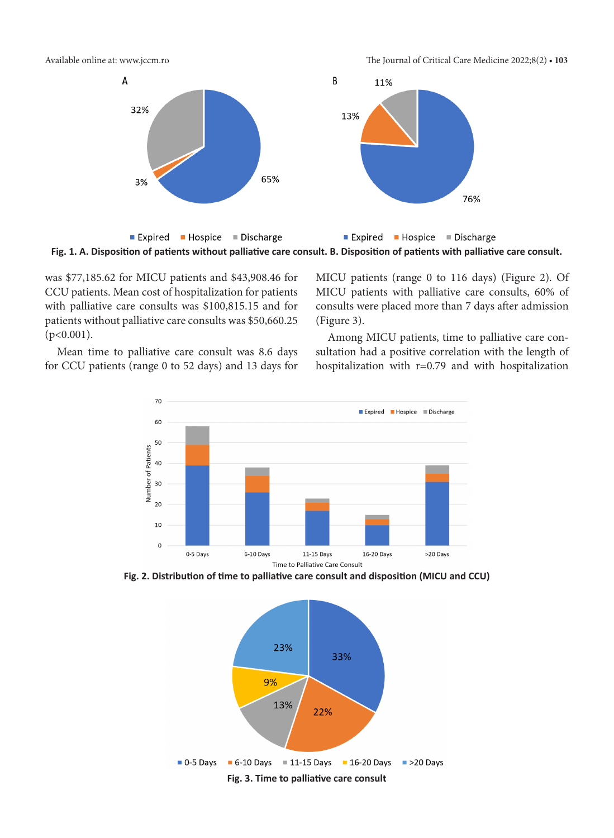Available online at: www.jccm.ro The Journal of Critical Care Medicine 2022;8(2) **• 103**





was \$77,185.62 for MICU patients and \$43,908.46 for CCU patients. Mean cost of hospitalization for patients with palliative care consults was \$100,815.15 and for patients without palliative care consults was \$50,660.25  $(p<0.001)$ .

MICU patients (range 0 to 116 days) (Figure 2). Of MICU patients with palliative care consults, 60% of consults were placed more than 7 days after admission (Figure 3).

Mean time to palliative care consult was 8.6 days for CCU patients (range 0 to 52 days) and 13 days for





**Fig. 2. Distribution of time to palliative care consult and disposition (MICU and CCU)**

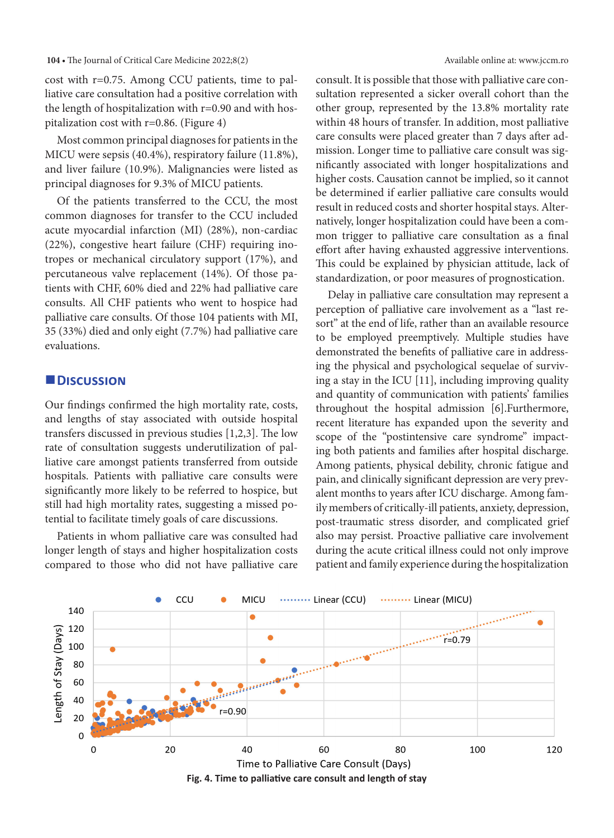**104 •** The Journal of Critical Care Medicine 2022;8(2) Available online at: www.jccm.ro

cost with r=0.75. Among CCU patients, time to palliative care consultation had a positive correlation with the length of hospitalization with  $r=0.90$  and with hospitalization cost with r=0.86. (Figure 4)

Most common principal diagnoses for patients in the MICU were sepsis (40.4%), respiratory failure (11.8%), and liver failure (10.9%). Malignancies were listed as principal diagnoses for 9.3% of MICU patients.

Of the patients transferred to the CCU, the most common diagnoses for transfer to the CCU included acute myocardial infarction (MI) (28%), non-cardiac (22%), congestive heart failure (CHF) requiring inotropes or mechanical circulatory support (17%), and percutaneous valve replacement (14%). Of those patients with CHF, 60% died and 22% had palliative care consults. All CHF patients who went to hospice had palliative care consults. Of those 104 patients with MI, 35 (33%) died and only eight (7.7%) had palliative care evaluations.

# **Discussion**

Our findings confirmed the high mortality rate, costs, and lengths of stay associated with outside hospital transfers discussed in previous studies [1,2,3]. The low rate of consultation suggests underutilization of palliative care amongst patients transferred from outside hospitals. Patients with palliative care consults were significantly more likely to be referred to hospice, but still had high mortality rates, suggesting a missed potential to facilitate timely goals of care discussions.

Patients in whom palliative care was consulted had longer length of stays and higher hospitalization costs compared to those who did not have palliative care consult. It is possible that those with palliative care consultation represented a sicker overall cohort than the other group, represented by the 13.8% mortality rate within 48 hours of transfer. In addition, most palliative care consults were placed greater than 7 days after admission. Longer time to palliative care consult was significantly associated with longer hospitalizations and higher costs. Causation cannot be implied, so it cannot be determined if earlier palliative care consults would result in reduced costs and shorter hospital stays. Alternatively, longer hospitalization could have been a common trigger to palliative care consultation as a final effort after having exhausted aggressive interventions. This could be explained by physician attitude, lack of standardization, or poor measures of prognostication.

Delay in palliative care consultation may represent a perception of palliative care involvement as a "last resort" at the end of life, rather than an available resource to be employed preemptively. Multiple studies have demonstrated the benefits of palliative care in addressing the physical and psychological sequelae of surviving a stay in the ICU [11], including improving quality and quantity of communication with patients' families throughout the hospital admission [6].Furthermore, recent literature has expanded upon the severity and scope of the "postintensive care syndrome" impacting both patients and families after hospital discharge. Among patients, physical debility, chronic fatigue and pain, and clinically significant depression are very prevalent months to years after ICU discharge. Among family members of critically-ill patients, anxiety, depression, post-traumatic stress disorder, and complicated grief also may persist. Proactive palliative care involvement during the acute critical illness could not only improve patient and family experience during the hospitalization



**Fig. 4. Time to palliative care consult and length of stay**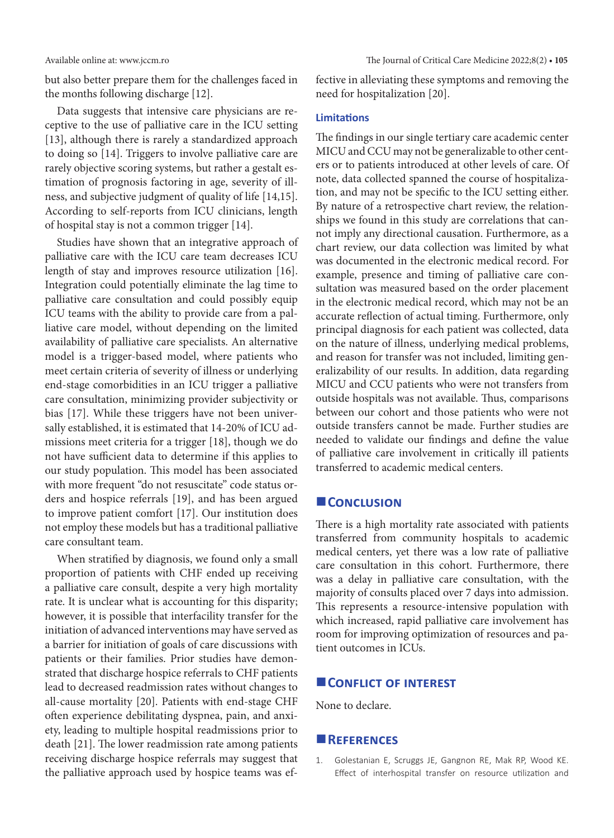but also better prepare them for the challenges faced in the months following discharge [12].

Data suggests that intensive care physicians are receptive to the use of palliative care in the ICU setting [13], although there is rarely a standardized approach to doing so [14]. Triggers to involve palliative care are rarely objective scoring systems, but rather a gestalt estimation of prognosis factoring in age, severity of illness, and subjective judgment of quality of life [14,15]. According to self-reports from ICU clinicians, length of hospital stay is not a common trigger [14].

Studies have shown that an integrative approach of palliative care with the ICU care team decreases ICU length of stay and improves resource utilization [16]. Integration could potentially eliminate the lag time to palliative care consultation and could possibly equip ICU teams with the ability to provide care from a palliative care model, without depending on the limited availability of palliative care specialists. An alternative model is a trigger-based model, where patients who meet certain criteria of severity of illness or underlying end-stage comorbidities in an ICU trigger a palliative care consultation, minimizing provider subjectivity or bias [17]. While these triggers have not been universally established, it is estimated that 14-20% of ICU admissions meet criteria for a trigger [18], though we do not have sufficient data to determine if this applies to our study population. This model has been associated with more frequent "do not resuscitate" code status orders and hospice referrals [19], and has been argued to improve patient comfort [17]. Our institution does not employ these models but has a traditional palliative care consultant team.

When stratified by diagnosis, we found only a small proportion of patients with CHF ended up receiving a palliative care consult, despite a very high mortality rate. It is unclear what is accounting for this disparity; however, it is possible that interfacility transfer for the initiation of advanced interventions may have served as a barrier for initiation of goals of care discussions with patients or their families. Prior studies have demonstrated that discharge hospice referrals to CHF patients lead to decreased readmission rates without changes to all-cause mortality [20]. Patients with end-stage CHF often experience debilitating dyspnea, pain, and anxiety, leading to multiple hospital readmissions prior to death [21]. The lower readmission rate among patients receiving discharge hospice referrals may suggest that the palliative approach used by hospice teams was effective in alleviating these symptoms and removing the need for hospitalization [20].

#### **Limitations**

The findings in our single tertiary care academic center MICU and CCU may not be generalizable to other centers or to patients introduced at other levels of care. Of note, data collected spanned the course of hospitalization, and may not be specific to the ICU setting either. By nature of a retrospective chart review, the relationships we found in this study are correlations that cannot imply any directional causation. Furthermore, as a chart review, our data collection was limited by what was documented in the electronic medical record. For example, presence and timing of palliative care consultation was measured based on the order placement in the electronic medical record, which may not be an accurate reflection of actual timing. Furthermore, only principal diagnosis for each patient was collected, data on the nature of illness, underlying medical problems, and reason for transfer was not included, limiting generalizability of our results. In addition, data regarding MICU and CCU patients who were not transfers from outside hospitals was not available. Thus, comparisons between our cohort and those patients who were not outside transfers cannot be made. Further studies are needed to validate our findings and define the value of palliative care involvement in critically ill patients transferred to academic medical centers.

# **CONCLUSION**

There is a high mortality rate associated with patients transferred from community hospitals to academic medical centers, yet there was a low rate of palliative care consultation in this cohort. Furthermore, there was a delay in palliative care consultation, with the majority of consults placed over 7 days into admission. This represents a resource-intensive population with which increased, rapid palliative care involvement has room for improving optimization of resources and patient outcomes in ICUs.

### **CONFLICT OF INTEREST**

None to declare.

#### **References**

1. Golestanian E, Scruggs JE, Gangnon RE, Mak RP, Wood KE. Effect of interhospital transfer on resource utilization and